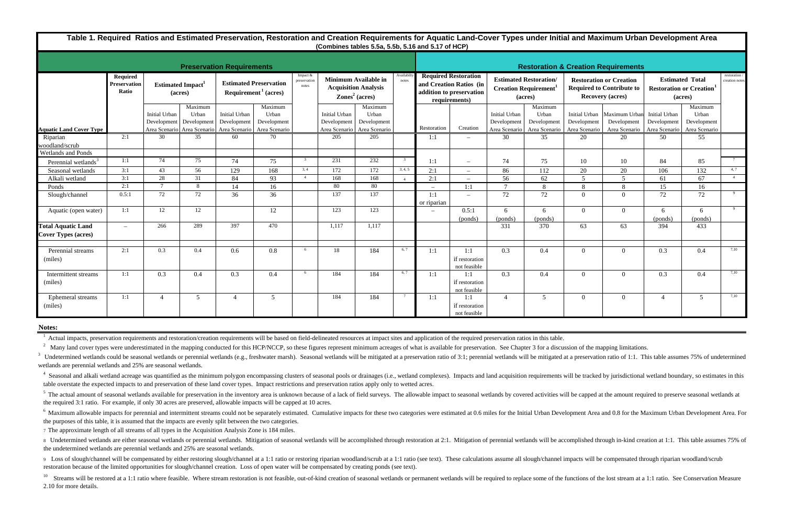<sup>6</sup> Maximum allowable impacts for perennial and intermittent streams could not be separately estimated. Cumulative impacts for these two categories were estimated at 0.6 miles for the Initial Urban Development Area and 0.8 the purposes of this table, it is assumed that the impacts are evenly split between the two categories.

8 Vndetermined wetlands are either seasonal wetlands or perennial wetlands. Mitigation of seasonal wetlands will be accomplished through restoration at 2:1. Mitigation of perennial wetlands will be accomplished through inthe undetermined wetlands are perennial wetlands and 25% are seasonal wetlands.

7 The approximate length of all streams of all types in the Acquisition Analysis Zone is 184 miles.

9 Loss of slough/channel will be compensated by either restoring slough/channel at a 1:1 ratio or restoring riparian woodland/scrub at a 1:1 ratio (see text). These calculations assume all slough/channel impacts will be co restoration because of the limited opportunities for slough/channel creation. Loss of open water will be compensated by creating ponds (see text).

<sup>10</sup> Streams will be restored at a 1:1 ratio where feasible. Where stream restoration is not feasible, out-of-kind creation of seasonal wetlands or permanent wetlands will be required to replace some of the functions of th 2.10 for more details.

<sup>5</sup> The actual amount of seasonal wetlands available for preservation in the inventory area is unknown because of a lack of field surveys. The allowable impact to seasonal wetlands by covered activities will be capped at t the required 3:1 ratio. For example, if only 30 acres are preserved, allowable impacts will be capped at 10 acres.

<sup>3</sup> Undetermined wetlands could be seasonal wetlands or perennial wetlands (e.g., freshwater marsh). Seasonal wetlands will be mitigated at a preservation ratio of 3:1; perennial wetlands will be mitigated at a preservati wetlands are perennial wetlands and 25% are seasonal wetlands.

<sup>4</sup> Seasonal and alkali wetland acreage was quantified as the minimum polygon encompassing clusters of seasonal pools or drainages (i.e., wetland complexes). Impacts and land acquisition requirements will be tracked by jur table overstate the expected impacts to and preservation of these land cover types. Impact restrictions and preservation ratios apply only to wetted acres.

| <b>Preservation Requirements</b> |                                                                         |                              |                                 |                                                                           |                                                  |                                   |                                                                                 |                                                  |                   | <b>Restoration &amp; Creation Requirements</b>                                                      |                                       |                                                                         |                                                  |                                                                                               |                                                               |                                                                     |                                                  |                                 |
|----------------------------------|-------------------------------------------------------------------------|------------------------------|---------------------------------|---------------------------------------------------------------------------|--------------------------------------------------|-----------------------------------|---------------------------------------------------------------------------------|--------------------------------------------------|-------------------|-----------------------------------------------------------------------------------------------------|---------------------------------------|-------------------------------------------------------------------------|--------------------------------------------------|-----------------------------------------------------------------------------------------------|---------------------------------------------------------------|---------------------------------------------------------------------|--------------------------------------------------|---------------------------------|
|                                  | Required<br>Preservation<br><b>Estimated Impact</b><br>Ratio<br>(acres) |                              |                                 | <b>Estimated Preservation</b><br>Required <sup>1</sup> (acres)            |                                                  | Impact &<br>preservation<br>notes | Minimum Available in<br><b>Acquisition Analysis</b><br>$\text{Zones}^2$ (acres) |                                                  | Availabi<br>notes | <b>Required Restoration</b><br>and Creation Ratios (in<br>addition to preservation<br>requirements) |                                       | <b>Estimated Restoration/</b><br><b>Creation Requirement</b><br>(acres) |                                                  | <b>Restoration or Creation</b><br><b>Required to Contribute to</b><br><b>Recovery (acres)</b> |                                                               | <b>Estimated Total</b><br><b>Restoration or Creation</b><br>(acres) |                                                  | restoration /<br>creation notes |
| <b>Aquatic Land Cover Type</b>   |                                                                         | Initial Urban<br>Development | Maximum<br>Urban<br>Development | Initial Urban<br>Development<br>Area Scenario Area Scenario Area Scenario | Maximum<br>Urban<br>Development<br>Area Scenario |                                   | Initial Urban<br>Development<br>Area Scenario                                   | Maximum<br>Urban<br>Development<br>Area Scenario |                   | Restoration                                                                                         | Creation                              | Initial Urban<br>Development<br>Area Scenario                           | Maximum<br>Urban<br>Development<br>Area Scenario | Initial Urban<br>Development<br>Area Scenario                                                 | Maximum Urban<br>Development<br>Area Scenario   Area Scenario | Initial Urban<br>Development                                        | Maximum<br>Urban<br>Development<br>Area Scenario |                                 |
| Riparian                         | 2:1                                                                     | 30                           | 35                              | 60                                                                        | 70                                               |                                   | 205                                                                             | 205                                              |                   | 1:1                                                                                                 | $\overline{\phantom{a}}$              | 30                                                                      | 35                                               | 20                                                                                            | 20                                                            | 50                                                                  | 55                                               |                                 |
| woodland/scrub                   |                                                                         |                              |                                 |                                                                           |                                                  |                                   |                                                                                 |                                                  |                   |                                                                                                     |                                       |                                                                         |                                                  |                                                                                               |                                                               |                                                                     |                                                  |                                 |
| Wetlands and Ponds               | 1:1                                                                     | 74                           | 75                              | 74                                                                        | 75                                               | $\overline{3}$                    | 231                                                                             | 232                                              | $\mathcal{R}$     |                                                                                                     |                                       |                                                                         | 75                                               |                                                                                               |                                                               | 84                                                                  | 85                                               | $7\overline{ }$                 |
| Perennial wetlands <sup>3</sup>  |                                                                         |                              |                                 |                                                                           |                                                  | 3, 4                              |                                                                                 |                                                  | 3, 4, 5           | 1:1                                                                                                 | $\overline{\phantom{a}}$              | 74                                                                      |                                                  | 10                                                                                            | 10                                                            |                                                                     |                                                  | 4, 7                            |
| Seasonal wetlands                | 3:1                                                                     | 43                           | 56                              | 129                                                                       | 168                                              |                                   | 172                                                                             | 172                                              |                   | 2:1                                                                                                 | $\sim$                                | 86                                                                      | 112                                              | 20                                                                                            | 20                                                            | 106                                                                 | 132                                              |                                 |
| Alkali wetland                   | 3:1                                                                     | 28                           | 31                              | 84                                                                        | 93                                               | $\overline{4}$                    | 168                                                                             | 168                                              |                   | 2:1                                                                                                 |                                       | 56                                                                      | 62                                               | $\sim$                                                                                        | $\overline{\phantom{0}}$                                      | 61                                                                  | 67                                               | 4 <sup>1</sup>                  |
| Ponds                            | 2:1                                                                     | $\mathcal{I}$                | 8                               | 14                                                                        | 16                                               |                                   | 80                                                                              | 80                                               |                   | $\equiv$                                                                                            | 1:1                                   | $\mathcal{I}$                                                           | 8                                                | 8                                                                                             | 8                                                             | 15                                                                  | 16                                               |                                 |
| Slough/channel                   | 0.5:1                                                                   | 72                           | 72                              | 36                                                                        | 36                                               |                                   | $\overline{137}$                                                                | $\overline{137}$                                 |                   | 1:1<br>or riparian                                                                                  | $\overline{\phantom{m}}$              | 72                                                                      | 72                                               | $\Omega$                                                                                      | $\Omega$                                                      | 72                                                                  | 72                                               | 9                               |
| Aquatic (open water)             | 1:1                                                                     | 12                           | 12                              |                                                                           | 12                                               |                                   | 123                                                                             | 123                                              |                   |                                                                                                     | 0.5:1<br>(ponds)                      | 6<br>(ponds)                                                            | 6<br>(ponds)                                     | $\Omega$                                                                                      | $\Omega$                                                      | 6<br>(ponds)                                                        | 6<br>(ponds)                                     | 9                               |
| <b>Total Aquatic Land</b>        | $\overline{\phantom{m}}$                                                | 266                          | 289                             | 397                                                                       | 470                                              |                                   | 1,117                                                                           | 1,117                                            |                   |                                                                                                     |                                       | 331                                                                     | $\overline{370}$                                 | 63                                                                                            | 63                                                            | 394                                                                 | 433                                              |                                 |
| <b>Cover Types (acres)</b>       |                                                                         |                              |                                 |                                                                           |                                                  |                                   |                                                                                 |                                                  |                   |                                                                                                     |                                       |                                                                         |                                                  |                                                                                               |                                                               |                                                                     |                                                  |                                 |
| Perennial streams<br>(miles)     | 2:1                                                                     | 0.3                          | 0.4                             | 0.6                                                                       | 0.8                                              | - 6                               | 18                                                                              | 184                                              | 6, 7              | 1:1                                                                                                 | 1:1<br>if restoration<br>not feasible | 0.3                                                                     | 0.4                                              | $\theta$                                                                                      | $\Omega$                                                      | 0.3                                                                 | 0.4                                              | 7,10                            |
| Intermittent streams<br>(miles)  | 1:1                                                                     | 0.3                          | 0.4                             | 0.3                                                                       | 0.4                                              | - 6                               | 184                                                                             | 184                                              | 6, 7              | 1:1                                                                                                 | 1:1<br>if restoration<br>not feasible | 0.3                                                                     | 0.4                                              | $\theta$                                                                                      | $\Omega$                                                      | 0.3                                                                 | 0.4                                              | 7,10                            |
| Ephemeral streams<br>(miles)     | 1:1                                                                     | $\Delta$                     | 5                               |                                                                           | 5                                                |                                   | 184                                                                             | 184                                              |                   | 1:1                                                                                                 | 1:1<br>if restoration<br>not feasible | $\overline{4}$                                                          | 5                                                | $\theta$                                                                                      | $\Omega$                                                      |                                                                     | 5                                                | 7,10                            |

**Table 1. Required Ratios and Estimated Preservation, Restoration and Creation Requirements for Aquatic Land-Cover Types under Initial and Maximum Urban Development Area (Combines tables 5.5a, 5.5b, 5.16 and 5.17 of HCP)**

## **Notes:**

Actual impacts, preservation requirements and restoration/creation requirements will be based on field-delineated resources at impact sites and application of the required preservation ratios in this table.

<sup>2</sup> Many land cover types were underestimated in the mapping conducted for this HCP/NCCP, so these figures represent minimum acreages of what is available for preservation. See Chapter 3 for a discussion of the mapping lim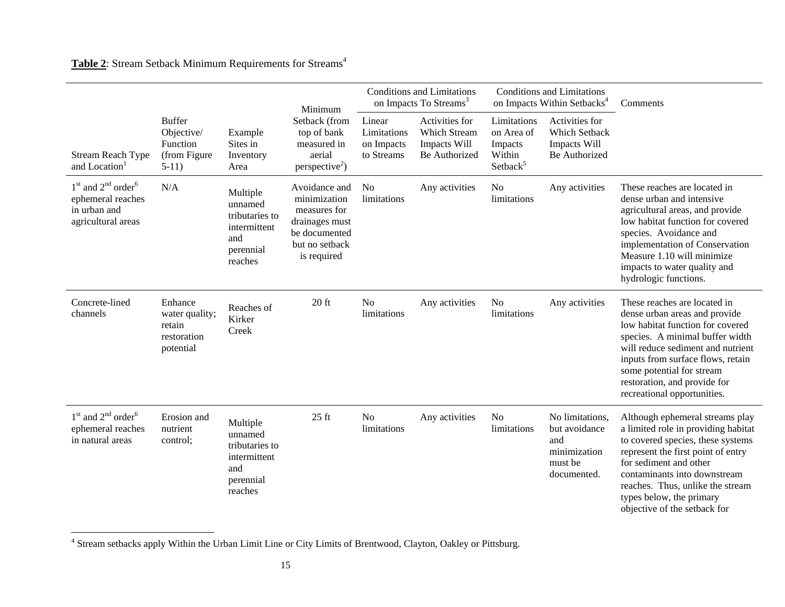## Table 2: Stream Setback Minimum Requirements for Streams<sup>4</sup>

|                                                                                               |                                                                    | Example<br>Sites in<br>Inventory<br>Area                                             | Minimum                                                                                                                                            |                                                   | <b>Conditions and Limitations</b><br>on Impacts To Streams <sup>3</sup> |                                                                        | <b>Conditions and Limitations</b><br>on Impacts Within Setbacks <sup>4</sup>      | Comments                                                                                                                                                                                                                                                                                                    |
|-----------------------------------------------------------------------------------------------|--------------------------------------------------------------------|--------------------------------------------------------------------------------------|----------------------------------------------------------------------------------------------------------------------------------------------------|---------------------------------------------------|-------------------------------------------------------------------------|------------------------------------------------------------------------|-----------------------------------------------------------------------------------|-------------------------------------------------------------------------------------------------------------------------------------------------------------------------------------------------------------------------------------------------------------------------------------------------------------|
| <b>Stream Reach Type</b><br>and Location <sup>1</sup>                                         | <b>Buffer</b><br>Objective/<br>Function<br>(from Figure<br>$5-11)$ |                                                                                      | Setback (from<br>top of bank<br>measured in<br>aerial<br>perspective <sup>2</sup> )                                                                | Linear<br>Limitations<br>on Impacts<br>to Streams | Activities for<br>Which Stream<br><b>Impacts Will</b><br>Be Authorized  | Limitations<br>on Area of<br>Impacts<br>Within<br>Setback <sup>5</sup> | Activities for<br>Which Setback<br>Impacts Will<br>Be Authorized                  |                                                                                                                                                                                                                                                                                                             |
| $1st$ and $2nd$ order <sup>6</sup><br>ephemeral reaches<br>in urban and<br>agricultural areas | N/A                                                                | Multiple<br>unnamed<br>tributaries to<br>intermittent<br>and<br>perennial<br>reaches | Avoidance and<br>N <sub>0</sub><br>limitations<br>minimization<br>measures for<br>drainages must<br>be documented<br>but no setback<br>is required |                                                   | Any activities                                                          | No<br>limitations                                                      | Any activities                                                                    | These reaches are located in<br>dense urban and intensive<br>agricultural areas, and provide<br>low habitat function for covered<br>species. Avoidance and<br>implementation of Conservation<br>Measure 1.10 will minimize<br>impacts to water quality and<br>hydrologic functions.                         |
| Concrete-lined<br>channels                                                                    | Enhance<br>water quality;<br>retain<br>restoration<br>potential    | Reaches of<br>Kirker<br>Creek                                                        | $20$ ft                                                                                                                                            | N <sub>0</sub><br>limitations                     | Any activities                                                          | N <sub>0</sub><br>limitations                                          | Any activities                                                                    | These reaches are located in<br>dense urban areas and provide<br>low habitat function for covered<br>species. A minimal buffer width<br>will reduce sediment and nutrient<br>inputs from surface flows, retain<br>some potential for stream<br>restoration, and provide for<br>recreational opportunities.  |
| $1st$ and $2nd$ order <sup>6</sup><br>ephemeral reaches<br>in natural areas                   | Erosion and<br>nutrient<br>control:                                | Multiple<br>unnamed<br>tributaries to<br>intermittent<br>and<br>perennial<br>reaches | $25$ ft                                                                                                                                            | N <sub>o</sub><br>limitations                     | Any activities                                                          | N <sub>o</sub><br>limitations                                          | No limitations,<br>but avoidance<br>and<br>minimization<br>must be<br>documented. | Although ephemeral streams play<br>a limited role in providing habitat<br>to covered species, these systems<br>represent the first point of entry<br>for sediment and other<br>contaminants into downstream<br>reaches. Thus, unlike the stream<br>types below, the primary<br>objective of the setback for |

<sup>4</sup> Stream setbacks apply Within the Urban Limit Line or City Limits of Brentwood, Clayton, Oakley or Pittsburg.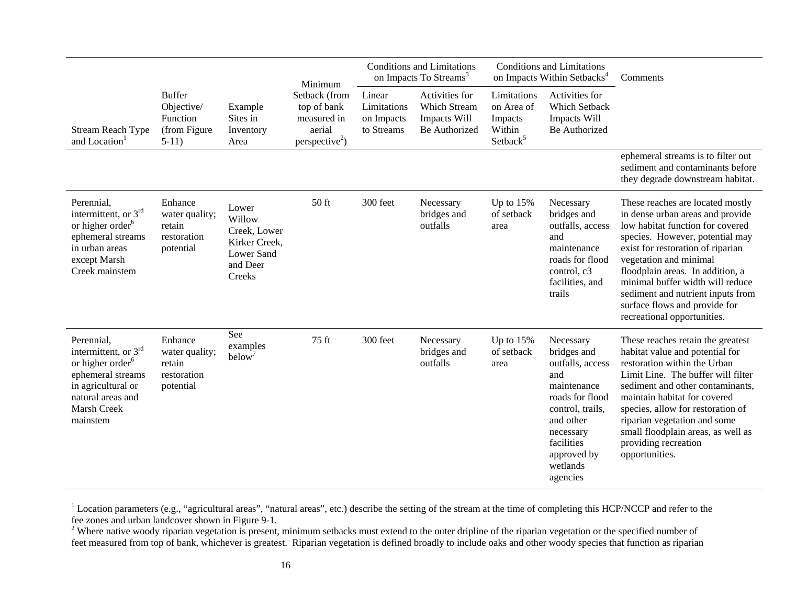|                                                                                                                                                                 |                                                                    |                                                                                             | Minimum                                                                             |                                                   | <b>Conditions and Limitations</b><br>on Impacts To Streams <sup>3</sup> |                                                                        | <b>Conditions and Limitations</b><br>on Impacts Within Setbacks <sup>4</sup>                                                                                                             | Comments                                                                                                                                                                                                                                                                                                                                                                                |
|-----------------------------------------------------------------------------------------------------------------------------------------------------------------|--------------------------------------------------------------------|---------------------------------------------------------------------------------------------|-------------------------------------------------------------------------------------|---------------------------------------------------|-------------------------------------------------------------------------|------------------------------------------------------------------------|------------------------------------------------------------------------------------------------------------------------------------------------------------------------------------------|-----------------------------------------------------------------------------------------------------------------------------------------------------------------------------------------------------------------------------------------------------------------------------------------------------------------------------------------------------------------------------------------|
| Stream Reach Type<br>and Location <sup>1</sup>                                                                                                                  | <b>Buffer</b><br>Objective/<br>Function<br>(from Figure<br>$5-11)$ | Example<br>Sites in<br>Inventory<br>Area                                                    | Setback (from<br>top of bank<br>measured in<br>aerial<br>perspective <sup>2</sup> ) | Linear<br>Limitations<br>on Impacts<br>to Streams | Activities for<br>Which Stream<br>Impacts Will<br>Be Authorized         | Limitations<br>on Area of<br>Impacts<br>Within<br>Setback <sup>5</sup> | Activities for<br>Which Setback<br>Impacts Will<br>Be Authorized                                                                                                                         |                                                                                                                                                                                                                                                                                                                                                                                         |
|                                                                                                                                                                 |                                                                    |                                                                                             |                                                                                     |                                                   |                                                                         |                                                                        |                                                                                                                                                                                          | ephemeral streams is to filter out<br>sediment and contaminants before<br>they degrade downstream habitat.                                                                                                                                                                                                                                                                              |
| Perennial,<br>intermittent, or 3 <sup>rd</sup><br>or higher order <sup>6</sup><br>ephemeral streams<br>in urban areas<br>except Marsh<br>Creek mainstem         | Enhance<br>water quality;<br>retain<br>restoration<br>potential    | Lower<br>Willow<br>Creek, Lower<br>Kirker Creek,<br><b>Lower Sand</b><br>and Deer<br>Creeks | 50 ft                                                                               | 300 feet                                          | Necessary<br>bridges and<br>outfalls                                    | Up to $15%$<br>of setback<br>area                                      | Necessary<br>bridges and<br>outfalls, access<br>and<br>maintenance<br>roads for flood<br>control, c3<br>facilities, and<br>trails                                                        | These reaches are located mostly<br>in dense urban areas and provide<br>low habitat function for covered<br>species. However, potential may<br>exist for restoration of riparian<br>vegetation and minimal<br>floodplain areas. In addition, a<br>minimal buffer width will reduce<br>sediment and nutrient inputs from<br>surface flows and provide for<br>recreational opportunities. |
| Perennial,<br>intermittent, or $3rd$<br>or higher order <sup>6</sup><br>ephemeral streams<br>in agricultural or<br>natural areas and<br>Marsh Creek<br>mainstem | Enhance<br>water quality;<br>retain<br>restoration<br>potential    | See<br>examples<br>below                                                                    | 75 ft                                                                               | 300 feet                                          | Necessary<br>bridges and<br>outfalls                                    | Up to $15%$<br>of setback<br>area                                      | Necessary<br>bridges and<br>outfalls, access<br>and<br>maintenance<br>roads for flood<br>control, trails,<br>and other<br>necessary<br>facilities<br>approved by<br>wetlands<br>agencies | These reaches retain the greatest<br>habitat value and potential for<br>restoration within the Urban<br>Limit Line. The buffer will filter<br>sediment and other contaminants,<br>maintain habitat for covered<br>species, allow for restoration of<br>riparian vegetation and some<br>small floodplain areas, as well as<br>providing recreation<br>opportunities.                     |

<sup>1</sup> Location parameters (e.g., "agricultural areas", "natural areas", etc.) describe the setting of the stream at the time of completing this HCP/NCCP and refer to the fee zones and urban landcover shown in Figure 9-1.

<sup>2</sup> Where native woody riparian vegetation is present, minimum setbacks must extend to the outer dripline of the riparian vegetation or the specified number of feet measured from top of bank, whichever is greatest. Riparian vegetation is defined broadly to include oaks and other woody species that function as riparian